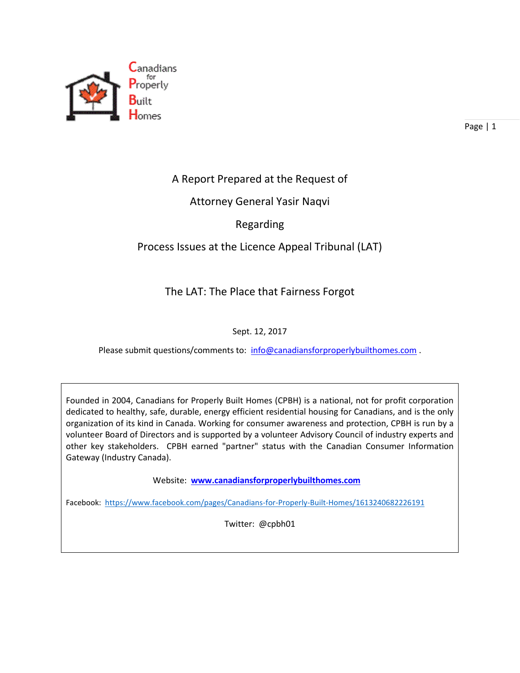

### A Report Prepared at the Request of

#### Attorney General Yasir Naqvi

#### Regarding

### Process Issues at the Licence Appeal Tribunal (LAT)

### The LAT: The Place that Fairness Forgot

#### Sept. 12, 2017

Please submit questions/comments to: [info@canadiansforproperlybuilthomes.com](mailto:info@canadiansforproperlybuilthomes.com).

Founded in 2004, Canadians for Properly Built Homes (CPBH) is a national, not for profit corporation dedicated to healthy, safe, durable, energy efficient residential housing for Canadians, and is the only organization of its kind in Canada. Working for consumer awareness and protection, CPBH is run by a volunteer Board of Directors and is supported by a volunteer Advisory Council of industry experts and other key stakeholders. CPBH earned "partner" status with the Canadian Consumer Information Gateway (Industry Canada).

Website: **[www.canadiansforproperlybuilthomes.com](http://www.canadiansforproperlybuilthomes.com/)**

Facebook: <https://www.facebook.com/pages/Canadians-for-Properly-Built-Homes/1613240682226191>

Twitter: @cpbh01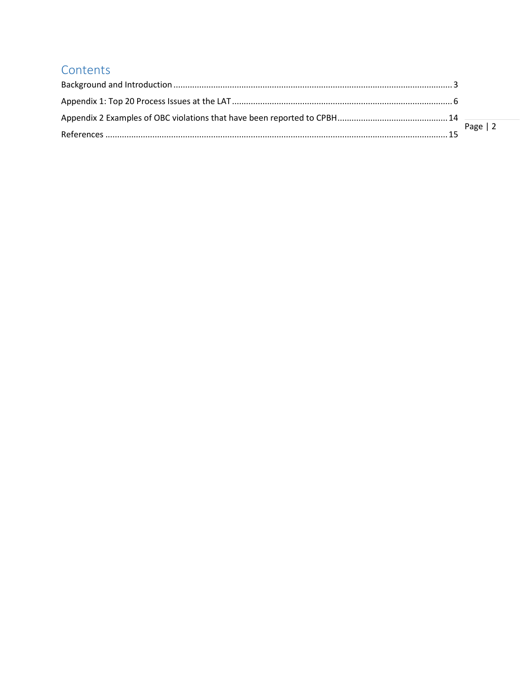# Contents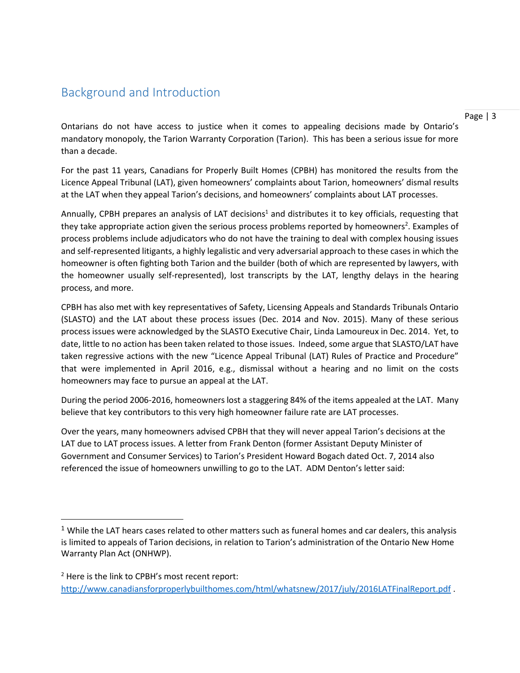## <span id="page-2-0"></span>Background and Introduction

 $\overline{\phantom{a}}$ 

Ontarians do not have access to justice when it comes to appealing decisions made by Ontario's mandatory monopoly, the Tarion Warranty Corporation (Tarion). This has been a serious issue for more than a decade.

For the past 11 years, Canadians for Properly Built Homes (CPBH) has monitored the results from the Licence Appeal Tribunal (LAT), given homeowners' complaints about Tarion, homeowners' dismal results at the LAT when they appeal Tarion's decisions, and homeowners' complaints about LAT processes.

Annually, CPBH prepares an analysis of LAT decisions<sup>1</sup> and distributes it to key officials, requesting that they take appropriate action given the serious process problems reported by homeowners<sup>2</sup>. Examples of process problems include adjudicators who do not have the training to deal with complex housing issues and self-represented litigants, a highly legalistic and very adversarial approach to these cases in which the homeowner is often fighting both Tarion and the builder (both of which are represented by lawyers, with the homeowner usually self-represented), lost transcripts by the LAT, lengthy delays in the hearing process, and more.

CPBH has also met with key representatives of Safety, Licensing Appeals and Standards Tribunals Ontario (SLASTO) and the LAT about these process issues (Dec. 2014 and Nov. 2015). Many of these serious process issues were acknowledged by the SLASTO Executive Chair, Linda Lamoureux in Dec. 2014. Yet, to date, little to no action has been taken related to those issues. Indeed, some argue that SLASTO/LAT have taken regressive actions with the new "Licence Appeal Tribunal (LAT) Rules of Practice and Procedure" that were implemented in April 2016, e.g., dismissal without a hearing and no limit on the costs homeowners may face to pursue an appeal at the LAT.

During the period 2006-2016, homeowners lost a staggering 84% of the items appealed at the LAT. Many believe that key contributors to this very high homeowner failure rate are LAT processes.

Over the years, many homeowners advised CPBH that they will never appeal Tarion's decisions at the LAT due to LAT process issues. A letter from Frank Denton (former Assistant Deputy Minister of Government and Consumer Services) to Tarion's President Howard Bogach dated Oct. 7, 2014 also referenced the issue of homeowners unwilling to go to the LAT. ADM Denton's letter said:

 $1$  While the LAT hears cases related to other matters such as funeral homes and car dealers, this analysis is limited to appeals of Tarion decisions, in relation to Tarion's administration of the Ontario New Home Warranty Plan Act (ONHWP).

 $2$  Here is the link to CPBH's most recent report: <http://www.canadiansforproperlybuilthomes.com/html/whatsnew/2017/july/2016LATFinalReport.pdf>.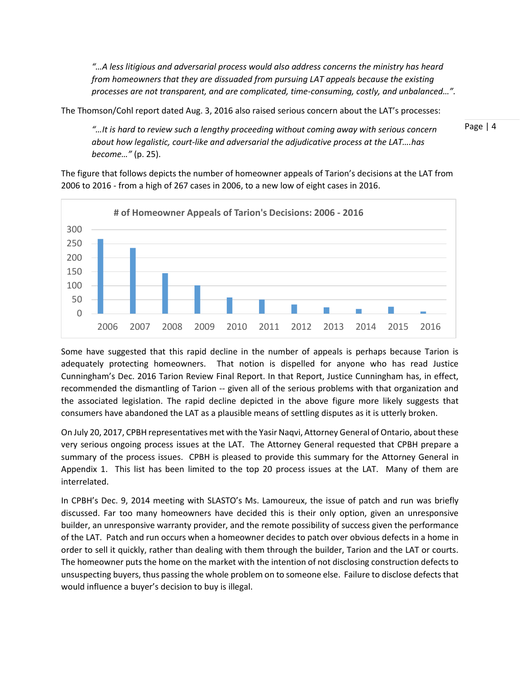*"…A less litigious and adversarial process would also address concerns the ministry has heard from homeowners that they are dissuaded from pursuing LAT appeals because the existing processes are not transparent, and are complicated, time-consuming, costly, and unbalanced…".*

The Thomson/Cohl report dated Aug. 3, 2016 also raised serious concern about the LAT's processes:

*"…It is hard to review such a lengthy proceeding without coming away with serious concern about how legalistic, court-like and adversarial the adjudicative process at the LAT….has become…"* (p. 25).

The figure that follows depicts the number of homeowner appeals of Tarion's decisions at the LAT from 2006 to 2016 - from a high of 267 cases in 2006, to a new low of eight cases in 2016.



Some have suggested that this rapid decline in the number of appeals is perhaps because Tarion is adequately protecting homeowners. That notion is dispelled for anyone who has read Justice Cunningham's Dec. 2016 Tarion Review Final Report. In that Report, Justice Cunningham has, in effect, recommended the dismantling of Tarion -- given all of the serious problems with that organization and the associated legislation. The rapid decline depicted in the above figure more likely suggests that consumers have abandoned the LAT as a plausible means of settling disputes as it is utterly broken.

On July 20, 2017, CPBH representatives met with the Yasir Naqvi, Attorney General of Ontario, about these very serious ongoing process issues at the LAT. The Attorney General requested that CPBH prepare a summary of the process issues. CPBH is pleased to provide this summary for the Attorney General in Appendix 1. This list has been limited to the top 20 process issues at the LAT. Many of them are interrelated.

In CPBH's Dec. 9, 2014 meeting with SLASTO's Ms. Lamoureux, the issue of patch and run was briefly discussed. Far too many homeowners have decided this is their only option, given an unresponsive builder, an unresponsive warranty provider, and the remote possibility of success given the performance of the LAT. Patch and run occurs when a homeowner decides to patch over obvious defects in a home in order to sell it quickly, rather than dealing with them through the builder, Tarion and the LAT or courts. The homeowner puts the home on the market with the intention of not disclosing construction defects to unsuspecting buyers, thus passing the whole problem on to someone else. Failure to disclose defects that would influence a buyer's decision to buy is illegal.

Page | 4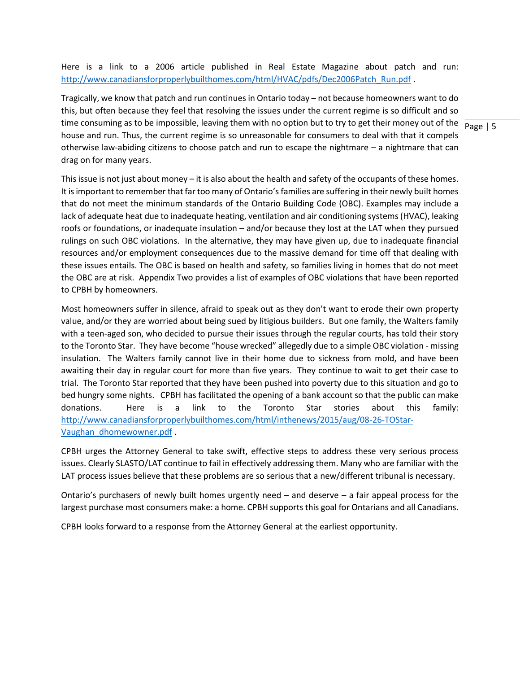Here is a link to a 2006 article published in Real Estate Magazine about patch and run: [http://www.canadiansforproperlybuilthomes.com/html/HVAC/pdfs/Dec2006Patch\\_Run.pdf](http://www.canadiansforproperlybuilthomes.com/html/HVAC/pdfs/Dec2006Patch_Run.pdf) .

time consuming as to be impossible, leaving them with no option but to try to get their money out of the  $\frac{}{\text{Page }|5}$ Tragically, we know that patch and run continues in Ontario today – not because homeowners want to do this, but often because they feel that resolving the issues under the current regime is so difficult and so house and run. Thus, the current regime is so unreasonable for consumers to deal with that it compels otherwise law-abiding citizens to choose patch and run to escape the nightmare – a nightmare that can drag on for many years.

This issue is not just about money – it is also about the health and safety of the occupants of these homes. It is important to remember that far too many of Ontario's families are suffering in their newly built homes that do not meet the minimum standards of the Ontario Building Code (OBC). Examples may include a lack of adequate heat due to inadequate heating, ventilation and air conditioning systems (HVAC), leaking roofs or foundations, or inadequate insulation – and/or because they lost at the LAT when they pursued rulings on such OBC violations. In the alternative, they may have given up, due to inadequate financial resources and/or employment consequences due to the massive demand for time off that dealing with these issues entails. The OBC is based on health and safety, so families living in homes that do not meet the OBC are at risk. Appendix Two provides a list of examples of OBC violations that have been reported to CPBH by homeowners.

Most homeowners suffer in silence, afraid to speak out as they don't want to erode their own property value, and/or they are worried about being sued by litigious builders. But one family, the Walters family with a teen-aged son, who decided to pursue their issues through the regular courts, has told their story to the Toronto Star. They have become "house wrecked" allegedly due to a simple OBC violation - missing insulation. The Walters family cannot live in their home due to sickness from mold, and have been awaiting their day in regular court for more than five years. They continue to wait to get their case to trial. The Toronto Star reported that they have been pushed into poverty due to this situation and go to bed hungry some nights. CPBH has facilitated the opening of a bank account so that the public can make donations. Here is a link to the Toronto Star stories about this family: [http://www.canadiansforproperlybuilthomes.com/html/inthenews/2015/aug/08-26-TOStar-](http://www.canadiansforproperlybuilthomes.com/html/inthenews/2015/aug/08-26-TOStar-Vaughan_dhomewowner.pdf)[Vaughan\\_dhomewowner.pdf](http://www.canadiansforproperlybuilthomes.com/html/inthenews/2015/aug/08-26-TOStar-Vaughan_dhomewowner.pdf) .

CPBH urges the Attorney General to take swift, effective steps to address these very serious process issues. Clearly SLASTO/LAT continue to fail in effectively addressing them. Many who are familiar with the LAT process issues believe that these problems are so serious that a new/different tribunal is necessary.

Ontario's purchasers of newly built homes urgently need – and deserve – a fair appeal process for the largest purchase most consumers make: a home. CPBH supports this goal for Ontarians and all Canadians.

CPBH looks forward to a response from the Attorney General at the earliest opportunity.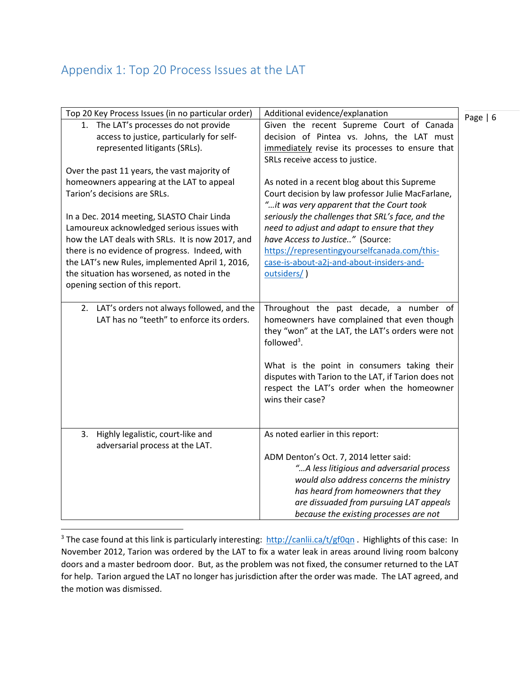# <span id="page-5-0"></span>Appendix 1: Top 20 Process Issues at the LAT

| Top 20 Key Process Issues (in no particular order)                                                                                                                                                                                                                                                                                                                                                                                                               | Additional evidence/explanation                                                                                                                                                                                                                                                                                                                                                                     |
|------------------------------------------------------------------------------------------------------------------------------------------------------------------------------------------------------------------------------------------------------------------------------------------------------------------------------------------------------------------------------------------------------------------------------------------------------------------|-----------------------------------------------------------------------------------------------------------------------------------------------------------------------------------------------------------------------------------------------------------------------------------------------------------------------------------------------------------------------------------------------------|
| 1. The LAT's processes do not provide<br>access to justice, particularly for self-<br>represented litigants (SRLs).                                                                                                                                                                                                                                                                                                                                              | Given the recent Supreme Court of Canada<br>decision of Pintea vs. Johns, the LAT must<br>immediately revise its processes to ensure that                                                                                                                                                                                                                                                           |
|                                                                                                                                                                                                                                                                                                                                                                                                                                                                  | SRLs receive access to justice.                                                                                                                                                                                                                                                                                                                                                                     |
| Over the past 11 years, the vast majority of<br>homeowners appearing at the LAT to appeal<br>Tarion's decisions are SRLs.<br>In a Dec. 2014 meeting, SLASTO Chair Linda<br>Lamoureux acknowledged serious issues with<br>how the LAT deals with SRLs. It is now 2017, and<br>there is no evidence of progress. Indeed, with<br>the LAT's new Rules, implemented April 1, 2016,<br>the situation has worsened, as noted in the<br>opening section of this report. | As noted in a recent blog about this Supreme<br>Court decision by law professor Julie MacFarlane,<br>"it was very apparent that the Court took<br>seriously the challenges that SRL's face, and the<br>need to adjust and adapt to ensure that they<br>have Access to Justice" (Source:<br>https://representingyourselfcanada.com/this-<br>case-is-about-a2j-and-about-insiders-and-<br>outsiders/) |
| LAT's orders not always followed, and the<br>2.<br>LAT has no "teeth" to enforce its orders.                                                                                                                                                                                                                                                                                                                                                                     | Throughout the past decade, a number of<br>homeowners have complained that even though<br>they "won" at the LAT, the LAT's orders were not<br>followed <sup>3</sup> .<br>What is the point in consumers taking their<br>disputes with Tarion to the LAT, if Tarion does not<br>respect the LAT's order when the homeowner<br>wins their case?                                                       |
| Highly legalistic, court-like and<br>3.<br>adversarial process at the LAT.                                                                                                                                                                                                                                                                                                                                                                                       | As noted earlier in this report:<br>ADM Denton's Oct. 7, 2014 letter said:<br>"A less litigious and adversarial process<br>would also address concerns the ministry<br>has heard from homeowners that they<br>are dissuaded from pursuing LAT appeals<br>because the existing processes are not                                                                                                     |

 $\overline{a}$ <sup>3</sup> The case found at this link is particularly interesting:<http://canlii.ca/t/gf0qn> . Highlights of this case: In November 2012, Tarion was ordered by the LAT to fix a water leak in areas around living room balcony doors and a master bedroom door. But, as the problem was not fixed, the consumer returned to the LAT for help. Tarion argued the LAT no longer has jurisdiction after the order was made. The LAT agreed, and the motion was dismissed.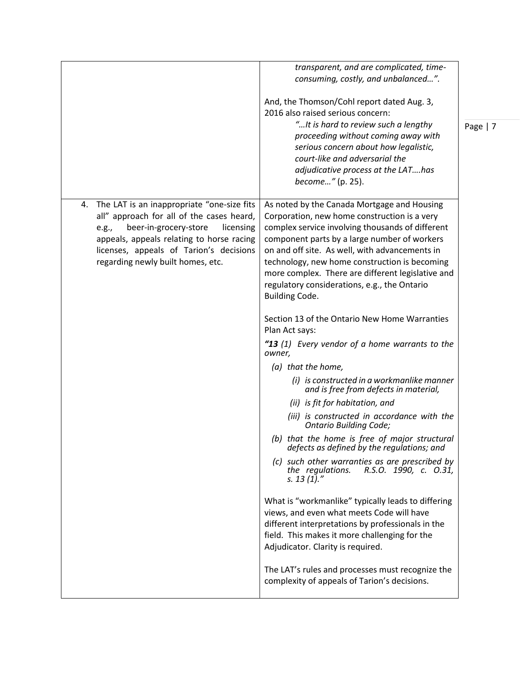|                                                                                                                                                                                                                                                                           | transparent, and are complicated, time-<br>consuming, costly, and unbalanced".<br>And, the Thomson/Cohl report dated Aug. 3,<br>2016 also raised serious concern:<br>" It is hard to review such a lengthy<br>proceeding without coming away with<br>serious concern about how legalistic,<br>court-like and adversarial the<br>adjudicative process at the LAThas<br>become" (p. 25).                                                                                                                                                                                                                                                                                                                                                                                                                                                                                                                                                                                                                                                                                                                                                                                                                                                                                                                                                                       | Page   7 |
|---------------------------------------------------------------------------------------------------------------------------------------------------------------------------------------------------------------------------------------------------------------------------|--------------------------------------------------------------------------------------------------------------------------------------------------------------------------------------------------------------------------------------------------------------------------------------------------------------------------------------------------------------------------------------------------------------------------------------------------------------------------------------------------------------------------------------------------------------------------------------------------------------------------------------------------------------------------------------------------------------------------------------------------------------------------------------------------------------------------------------------------------------------------------------------------------------------------------------------------------------------------------------------------------------------------------------------------------------------------------------------------------------------------------------------------------------------------------------------------------------------------------------------------------------------------------------------------------------------------------------------------------------|----------|
| The LAT is an inappropriate "one-size fits<br>4.<br>all" approach for all of the cases heard,<br>beer-in-grocery-store<br>licensing<br>e.g.,<br>appeals, appeals relating to horse racing<br>licenses, appeals of Tarion's decisions<br>regarding newly built homes, etc. | As noted by the Canada Mortgage and Housing<br>Corporation, new home construction is a very<br>complex service involving thousands of different<br>component parts by a large number of workers<br>on and off site. As well, with advancements in<br>technology, new home construction is becoming<br>more complex. There are different legislative and<br>regulatory considerations, e.g., the Ontario<br><b>Building Code.</b><br>Section 13 of the Ontario New Home Warranties<br>Plan Act says:<br>"13 (1) Every vendor of a home warrants to the<br>owner,<br>(a) that the home,<br>(i) is constructed in a workmanlike manner<br>and is free from defects in material,<br>(ii) is fit for habitation, and<br>(iii) is constructed in accordance with the<br><b>Ontario Building Code;</b><br>(b) that the home is free of major structural<br>defects as defined by the regulations; and<br>(c) such other warranties as are prescribed by<br>the regulations. R.S.O. 1990, c. 0.31,<br>s. 13 $(1)'$<br>What is "workmanlike" typically leads to differing<br>views, and even what meets Code will have<br>different interpretations by professionals in the<br>field. This makes it more challenging for the<br>Adjudicator. Clarity is required.<br>The LAT's rules and processes must recognize the<br>complexity of appeals of Tarion's decisions. |          |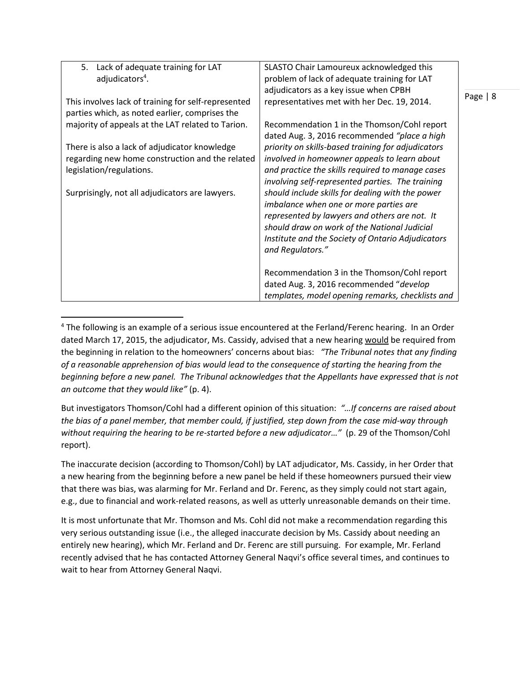| Lack of adequate training for LAT<br>5.             | SLASTO Chair Lamoureux acknowledged this           |           |
|-----------------------------------------------------|----------------------------------------------------|-----------|
| adjudicators <sup>4</sup> .                         | problem of lack of adequate training for LAT       |           |
|                                                     | adjudicators as a key issue when CPBH              |           |
| This involves lack of training for self-represented | representatives met with her Dec. 19, 2014.        | Page $ 8$ |
| parties which, as noted earlier, comprises the      |                                                    |           |
| majority of appeals at the LAT related to Tarion.   | Recommendation 1 in the Thomson/Cohl report        |           |
|                                                     | dated Aug. 3, 2016 recommended "place a high       |           |
| There is also a lack of adjudicator knowledge       | priority on skills-based training for adjudicators |           |
| regarding new home construction and the related     | involved in homeowner appeals to learn about       |           |
| legislation/regulations.                            | and practice the skills required to manage cases   |           |
|                                                     | involving self-represented parties. The training   |           |
| Surprisingly, not all adjudicators are lawyers.     | should include skills for dealing with the power   |           |
|                                                     | imbalance when one or more parties are             |           |
|                                                     | represented by lawyers and others are not. It      |           |
|                                                     | should draw on work of the National Judicial       |           |
|                                                     | Institute and the Society of Ontario Adjudicators  |           |
|                                                     | and Regulators."                                   |           |
|                                                     |                                                    |           |
|                                                     | Recommendation 3 in the Thomson/Cohl report        |           |
|                                                     | dated Aug. 3, 2016 recommended "develop            |           |
|                                                     | templates, model opening remarks, checklists and   |           |

 $\overline{a}$ <sup>4</sup> The following is an example of a serious issue encountered at the Ferland/Ferenc hearing. In an Order dated March 17, 2015, the adjudicator, Ms. Cassidy, advised that a new hearing would be required from the beginning in relation to the homeowners' concerns about bias: *"The Tribunal notes that any finding of a reasonable apprehension of bias would lead to the consequence of starting the hearing from the beginning before a new panel. The Tribunal acknowledges that the Appellants have expressed that is not an outcome that they would like"* (p. 4).

But investigators Thomson/Cohl had a different opinion of this situation: *"…If concerns are raised about the bias of a panel member, that member could, if justified, step down from the case mid-way through without requiring the hearing to be re-started before a new adjudicator…"* (p. 29 of the Thomson/Cohl report).

The inaccurate decision (according to Thomson/Cohl) by LAT adjudicator, Ms. Cassidy, in her Order that a new hearing from the beginning before a new panel be held if these homeowners pursued their view that there was bias, was alarming for Mr. Ferland and Dr. Ferenc, as they simply could not start again, e.g., due to financial and work-related reasons, as well as utterly unreasonable demands on their time.

It is most unfortunate that Mr. Thomson and Ms. Cohl did not make a recommendation regarding this very serious outstanding issue (i.e., the alleged inaccurate decision by Ms. Cassidy about needing an entirely new hearing), which Mr. Ferland and Dr. Ferenc are still pursuing. For example, Mr. Ferland recently advised that he has contacted Attorney General Naqvi's office several times, and continues to wait to hear from Attorney General Naqvi.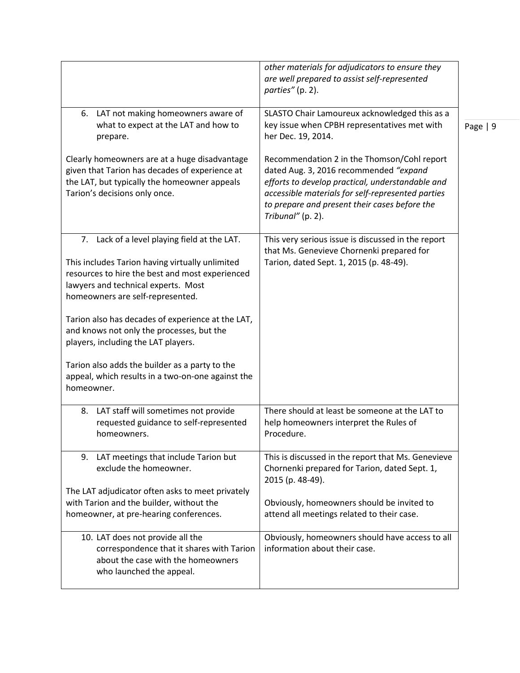|                                                                                                                                                                                                                               | other materials for adjudicators to ensure they<br>are well prepared to assist self-represented<br>parties" (p. 2).                                                                                                                                                  |           |
|-------------------------------------------------------------------------------------------------------------------------------------------------------------------------------------------------------------------------------|----------------------------------------------------------------------------------------------------------------------------------------------------------------------------------------------------------------------------------------------------------------------|-----------|
| 6. LAT not making homeowners aware of<br>what to expect at the LAT and how to<br>prepare.                                                                                                                                     | SLASTO Chair Lamoureux acknowledged this as a<br>key issue when CPBH representatives met with<br>her Dec. 19, 2014.                                                                                                                                                  | Page $ 9$ |
| Clearly homeowners are at a huge disadvantage<br>given that Tarion has decades of experience at<br>the LAT, but typically the homeowner appeals<br>Tarion's decisions only once.                                              | Recommendation 2 in the Thomson/Cohl report<br>dated Aug. 3, 2016 recommended "expand<br>efforts to develop practical, understandable and<br>accessible materials for self-represented parties<br>to prepare and present their cases before the<br>Tribunal" (p. 2). |           |
| 7. Lack of a level playing field at the LAT.<br>This includes Tarion having virtually unlimited<br>resources to hire the best and most experienced<br>lawyers and technical experts. Most<br>homeowners are self-represented. | This very serious issue is discussed in the report<br>that Ms. Genevieve Chornenki prepared for<br>Tarion, dated Sept. 1, 2015 (p. 48-49).                                                                                                                           |           |
| Tarion also has decades of experience at the LAT,<br>and knows not only the processes, but the<br>players, including the LAT players.                                                                                         |                                                                                                                                                                                                                                                                      |           |
| Tarion also adds the builder as a party to the<br>appeal, which results in a two-on-one against the<br>homeowner.                                                                                                             |                                                                                                                                                                                                                                                                      |           |
| LAT staff will sometimes not provide<br>8.<br>requested guidance to self-represented<br>homeowners.                                                                                                                           | There should at least be someone at the LAT to<br>help homeowners interpret the Rules of<br>Procedure.                                                                                                                                                               |           |
| 9. LAT meetings that include Tarion but<br>exclude the homeowner.                                                                                                                                                             | This is discussed in the report that Ms. Genevieve<br>Chornenki prepared for Tarion, dated Sept. 1,<br>2015 (p. 48-49).                                                                                                                                              |           |
| The LAT adjudicator often asks to meet privately<br>with Tarion and the builder, without the<br>homeowner, at pre-hearing conferences.                                                                                        | Obviously, homeowners should be invited to<br>attend all meetings related to their case.                                                                                                                                                                             |           |
| 10. LAT does not provide all the<br>correspondence that it shares with Tarion<br>about the case with the homeowners<br>who launched the appeal.                                                                               | Obviously, homeowners should have access to all<br>information about their case.                                                                                                                                                                                     |           |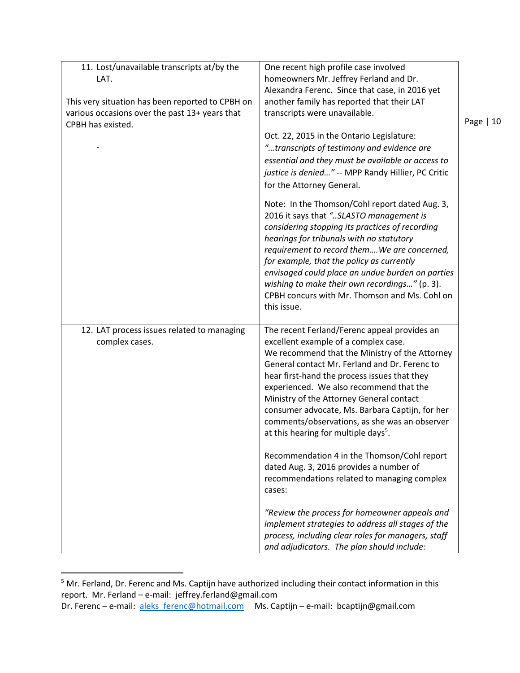| 11. Lost/unavailable transcripts at/by the       | One recent high profile case involved                                                                                                                                                                                                                                                                                                                                                                                                                     |            |
|--------------------------------------------------|-----------------------------------------------------------------------------------------------------------------------------------------------------------------------------------------------------------------------------------------------------------------------------------------------------------------------------------------------------------------------------------------------------------------------------------------------------------|------------|
| LAT.                                             | homeowners Mr. Jeffrey Ferland and Dr.                                                                                                                                                                                                                                                                                                                                                                                                                    |            |
|                                                  | Alexandra Ferenc. Since that case, in 2016 yet                                                                                                                                                                                                                                                                                                                                                                                                            |            |
| This very situation has been reported to CPBH on | another family has reported that their LAT                                                                                                                                                                                                                                                                                                                                                                                                                |            |
| various occasions over the past 13+ years that   | transcripts were unavailable.                                                                                                                                                                                                                                                                                                                                                                                                                             |            |
| CPBH has existed.                                |                                                                                                                                                                                                                                                                                                                                                                                                                                                           | Page $ 10$ |
|                                                  | Oct. 22, 2015 in the Ontario Legislature:                                                                                                                                                                                                                                                                                                                                                                                                                 |            |
|                                                  | "transcripts of testimony and evidence are                                                                                                                                                                                                                                                                                                                                                                                                                |            |
|                                                  | essential and they must be available or access to                                                                                                                                                                                                                                                                                                                                                                                                         |            |
|                                                  | justice is denied" -- MPP Randy Hillier, PC Critic                                                                                                                                                                                                                                                                                                                                                                                                        |            |
|                                                  | for the Attorney General.                                                                                                                                                                                                                                                                                                                                                                                                                                 |            |
|                                                  | Note: In the Thomson/Cohl report dated Aug. 3,<br>2016 it says that "SLASTO management is<br>considering stopping its practices of recording<br>hearings for tribunals with no statutory<br>requirement to record themWe are concerned,<br>for example, that the policy as currently<br>envisaged could place an undue burden on parties<br>wishing to make their own recordings" (p. 3).<br>CPBH concurs with Mr. Thomson and Ms. Cohl on<br>this issue. |            |
| 12. LAT process issues related to managing       | The recent Ferland/Ferenc appeal provides an                                                                                                                                                                                                                                                                                                                                                                                                              |            |
| complex cases.                                   | excellent example of a complex case.<br>We recommend that the Ministry of the Attorney<br>General contact Mr. Ferland and Dr. Ferenc to<br>hear first-hand the process issues that they<br>experienced. We also recommend that the<br>Ministry of the Attorney General contact<br>consumer advocate, Ms. Barbara Captijn, for her<br>comments/observations, as she was an observer<br>at this hearing for multiple days <sup>5</sup> .                    |            |
|                                                  | Recommendation 4 in the Thomson/Cohl report<br>dated Aug. 3, 2016 provides a number of<br>recommendations related to managing complex<br>cases:                                                                                                                                                                                                                                                                                                           |            |
|                                                  | "Review the process for homeowner appeals and<br>implement strategies to address all stages of the<br>process, including clear roles for managers, staff<br>and adjudicators. The plan should include:                                                                                                                                                                                                                                                    |            |

<sup>&</sup>lt;sup>5</sup> Mr. Ferland, Dr. Ferenc and Ms. Captijn have authorized including their contact information in this report. Mr. Ferland – e-mail: jeffrey.ferland@gmail.com

 $\overline{\phantom{a}}$ 

Dr. Ferenc – e-mail: [aleks\\_ferenc@hotmail.com](mailto:aleks_ferenc@hotmail.com) Ms. Captijn – e-mail: bcaptijn@gmail.com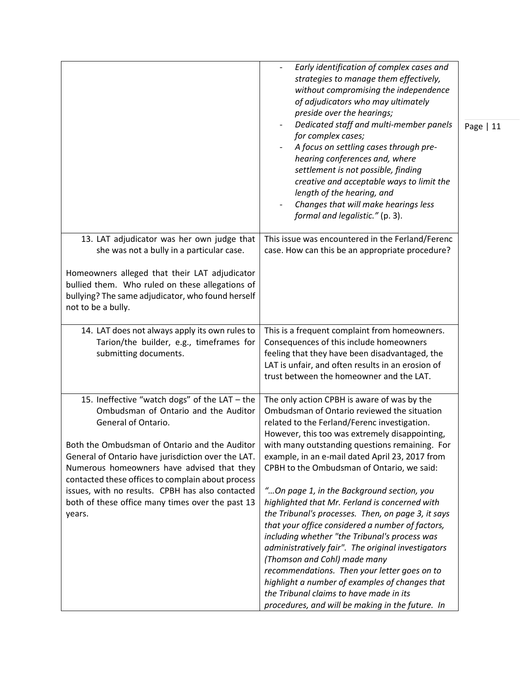|                                                                                                                                                                                                                                                                                                                                                                                                                                          | Early identification of complex cases and<br>strategies to manage them effectively,<br>without compromising the independence<br>of adjudicators who may ultimately<br>preside over the hearings;<br>Dedicated staff and multi-member panels<br>for complex cases;<br>A focus on settling cases through pre-<br>hearing conferences and, where<br>settlement is not possible, finding<br>creative and acceptable ways to limit the<br>length of the hearing, and<br>Changes that will make hearings less<br>formal and legalistic." (p. 3).                                                                                                                                                                                                                                                                                                                                                        | Page   11 |
|------------------------------------------------------------------------------------------------------------------------------------------------------------------------------------------------------------------------------------------------------------------------------------------------------------------------------------------------------------------------------------------------------------------------------------------|---------------------------------------------------------------------------------------------------------------------------------------------------------------------------------------------------------------------------------------------------------------------------------------------------------------------------------------------------------------------------------------------------------------------------------------------------------------------------------------------------------------------------------------------------------------------------------------------------------------------------------------------------------------------------------------------------------------------------------------------------------------------------------------------------------------------------------------------------------------------------------------------------|-----------|
| 13. LAT adjudicator was her own judge that<br>she was not a bully in a particular case.<br>Homeowners alleged that their LAT adjudicator<br>bullied them. Who ruled on these allegations of<br>bullying? The same adjudicator, who found herself<br>not to be a bully.                                                                                                                                                                   | This issue was encountered in the Ferland/Ferenc<br>case. How can this be an appropriate procedure?                                                                                                                                                                                                                                                                                                                                                                                                                                                                                                                                                                                                                                                                                                                                                                                               |           |
| 14. LAT does not always apply its own rules to<br>Tarion/the builder, e.g., timeframes for<br>submitting documents.                                                                                                                                                                                                                                                                                                                      | This is a frequent complaint from homeowners.<br>Consequences of this include homeowners<br>feeling that they have been disadvantaged, the<br>LAT is unfair, and often results in an erosion of<br>trust between the homeowner and the LAT.                                                                                                                                                                                                                                                                                                                                                                                                                                                                                                                                                                                                                                                       |           |
| 15. Ineffective "watch dogs" of the LAT - the<br>Ombudsman of Ontario and the Auditor<br>General of Ontario.<br>Both the Ombudsman of Ontario and the Auditor<br>General of Ontario have jurisdiction over the LAT.<br>Numerous homeowners have advised that they<br>contacted these offices to complain about process<br>issues, with no results. CPBH has also contacted<br>both of these office many times over the past 13<br>years. | The only action CPBH is aware of was by the<br>Ombudsman of Ontario reviewed the situation<br>related to the Ferland/Ferenc investigation.<br>However, this too was extremely disappointing,<br>with many outstanding questions remaining. For<br>example, in an e-mail dated April 23, 2017 from<br>CPBH to the Ombudsman of Ontario, we said:<br>"On page 1, in the Background section, you<br>highlighted that Mr. Ferland is concerned with<br>the Tribunal's processes. Then, on page 3, it says<br>that your office considered a number of factors,<br>including whether "the Tribunal's process was<br>administratively fair". The original investigators<br>(Thomson and Cohl) made many<br>recommendations. Then your letter goes on to<br>highlight a number of examples of changes that<br>the Tribunal claims to have made in its<br>procedures, and will be making in the future. In |           |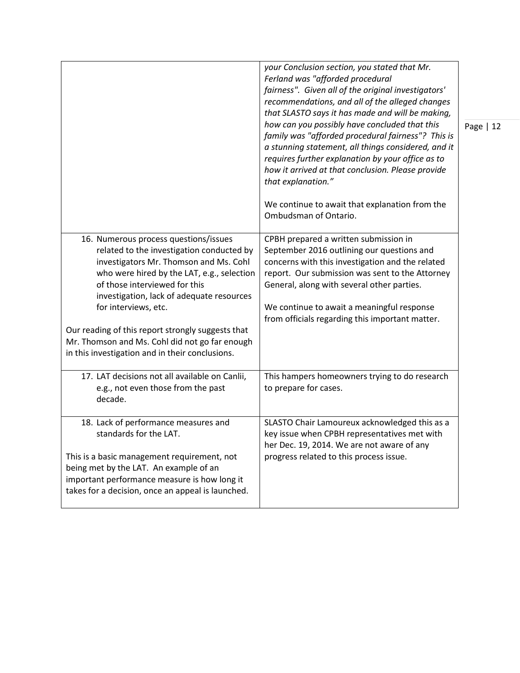|                                                                                                                                                                                                                                                                                                                                                                                                                                            | your Conclusion section, you stated that Mr.<br>Ferland was "afforded procedural<br>fairness". Given all of the original investigators'<br>recommendations, and all of the alleged changes<br>that SLASTO says it has made and will be making,<br>how can you possibly have concluded that this<br>family was "afforded procedural fairness"? This is<br>a stunning statement, all things considered, and it<br>requires further explanation by your office as to<br>how it arrived at that conclusion. Please provide<br>that explanation."<br>We continue to await that explanation from the<br>Ombudsman of Ontario. | Page   12 |
|--------------------------------------------------------------------------------------------------------------------------------------------------------------------------------------------------------------------------------------------------------------------------------------------------------------------------------------------------------------------------------------------------------------------------------------------|-------------------------------------------------------------------------------------------------------------------------------------------------------------------------------------------------------------------------------------------------------------------------------------------------------------------------------------------------------------------------------------------------------------------------------------------------------------------------------------------------------------------------------------------------------------------------------------------------------------------------|-----------|
| 16. Numerous process questions/issues<br>related to the investigation conducted by<br>investigators Mr. Thomson and Ms. Cohl<br>who were hired by the LAT, e.g., selection<br>of those interviewed for this<br>investigation, lack of adequate resources<br>for interviews, etc.<br>Our reading of this report strongly suggests that<br>Mr. Thomson and Ms. Cohl did not go far enough<br>in this investigation and in their conclusions. | CPBH prepared a written submission in<br>September 2016 outlining our questions and<br>concerns with this investigation and the related<br>report. Our submission was sent to the Attorney<br>General, along with several other parties.<br>We continue to await a meaningful response<br>from officials regarding this important matter.                                                                                                                                                                                                                                                                               |           |
| 17. LAT decisions not all available on Canlii,<br>e.g., not even those from the past<br>decade.                                                                                                                                                                                                                                                                                                                                            | This hampers homeowners trying to do research<br>to prepare for cases.                                                                                                                                                                                                                                                                                                                                                                                                                                                                                                                                                  |           |
| 18. Lack of performance measures and<br>standards for the LAT.<br>This is a basic management requirement, not<br>being met by the LAT. An example of an<br>important performance measure is how long it<br>takes for a decision, once an appeal is launched.                                                                                                                                                                               | SLASTO Chair Lamoureux acknowledged this as a<br>key issue when CPBH representatives met with<br>her Dec. 19, 2014. We are not aware of any<br>progress related to this process issue.                                                                                                                                                                                                                                                                                                                                                                                                                                  |           |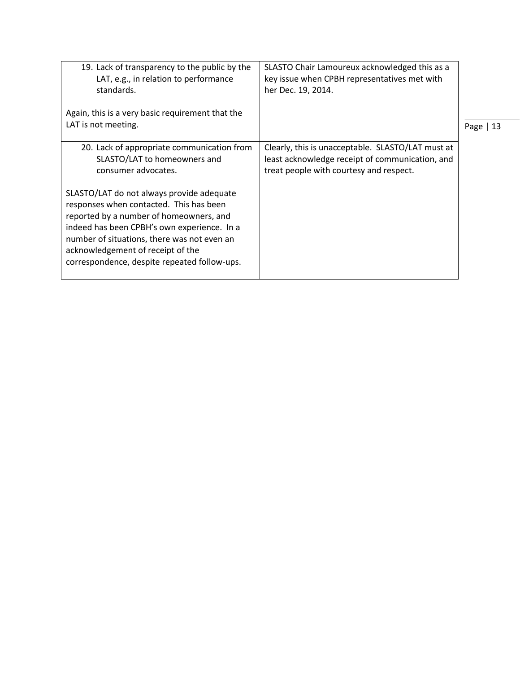| 19. Lack of transparency to the public by the<br>LAT, e.g., in relation to performance<br>standards.<br>Again, this is a very basic requirement that the                                                                                                                                                           | SLASTO Chair Lamoureux acknowledged this as a<br>key issue when CPBH representatives met with<br>her Dec. 19, 2014.                             |            |
|--------------------------------------------------------------------------------------------------------------------------------------------------------------------------------------------------------------------------------------------------------------------------------------------------------------------|-------------------------------------------------------------------------------------------------------------------------------------------------|------------|
| LAT is not meeting.                                                                                                                                                                                                                                                                                                |                                                                                                                                                 | Page $ 13$ |
| 20. Lack of appropriate communication from<br>SLASTO/LAT to homeowners and<br>consumer advocates.                                                                                                                                                                                                                  | Clearly, this is unacceptable. SLASTO/LAT must at<br>least acknowledge receipt of communication, and<br>treat people with courtesy and respect. |            |
| SLASTO/LAT do not always provide adequate<br>responses when contacted. This has been<br>reported by a number of homeowners, and<br>indeed has been CPBH's own experience. In a<br>number of situations, there was not even an<br>acknowledgement of receipt of the<br>correspondence, despite repeated follow-ups. |                                                                                                                                                 |            |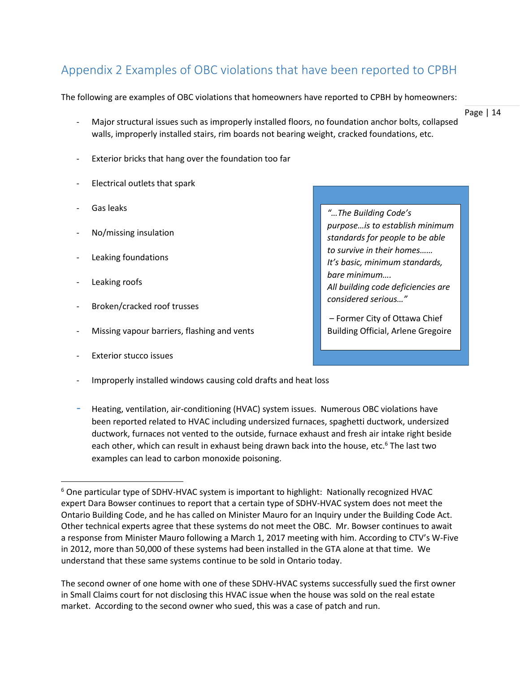# <span id="page-13-0"></span>Appendix 2 Examples of OBC violations that have been reported to CPBH

The following are examples of OBC violations that homeowners have reported to CPBH by homeowners:

- Major structural issues such as improperly installed floors, no foundation anchor bolts, collapsed walls, improperly installed stairs, rim boards not bearing weight, cracked foundations, etc.
- Exterior bricks that hang over the foundation too far
- Electrical outlets that spark
- Gas leaks
- No/missing insulation
- Leaking foundations
- Leaking roofs

l

- Broken/cracked roof trusses
- Missing vapour barriers, flashing and vents
- Exterior stucco issues
- Improperly installed windows causing cold drafts and heat loss
- Heating, ventilation, air-conditioning (HVAC) system issues. Numerous OBC violations have been reported related to HVAC including undersized furnaces, spaghetti ductwork, undersized ductwork, furnaces not vented to the outside, furnace exhaust and fresh air intake right beside each other, which can result in exhaust being drawn back into the house, etc.<sup>6</sup> The last two examples can lead to carbon monoxide poisoning.

The second owner of one home with one of these SDHV-HVAC systems successfully sued the first owner in Small Claims court for not disclosing this HVAC issue when the house was sold on the real estate market. According to the second owner who sued, this was a case of patch and run.

Page | 14

*"…The Building Code's purpose…is to establish minimum standards for people to be able to survive in their homes…… It's basic, minimum standards, bare minimum…. All building code deficiencies are considered serious…"*

– Former City of Ottawa Chief Building Official, Arlene Gregoire

 $6$  One particular type of SDHV-HVAC system is important to highlight: Nationally recognized HVAC expert Dara Bowser continues to report that a certain type of SDHV-HVAC system does not meet the Ontario Building Code, and he has called on Minister Mauro for an Inquiry under the Building Code Act. Other technical experts agree that these systems do not meet the OBC. Mr. Bowser continues to await a response from Minister Mauro following a March 1, 2017 meeting with him. According to CTV's W-Five in 2012, more than 50,000 of these systems had been installed in the GTA alone at that time. We understand that these same systems continue to be sold in Ontario today.